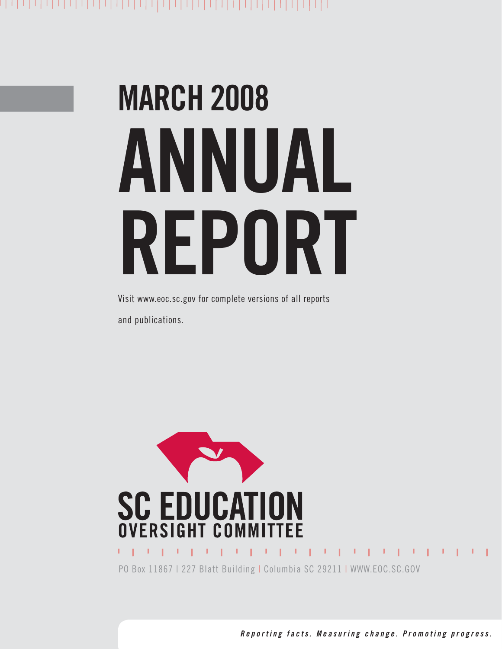# **MARCH 2008 ANNUAL REPORT**

Visit www.eoc.sc.gov for complete versions of all reports and publications.



*Reporting facts. Measuring change. Promoting progress.*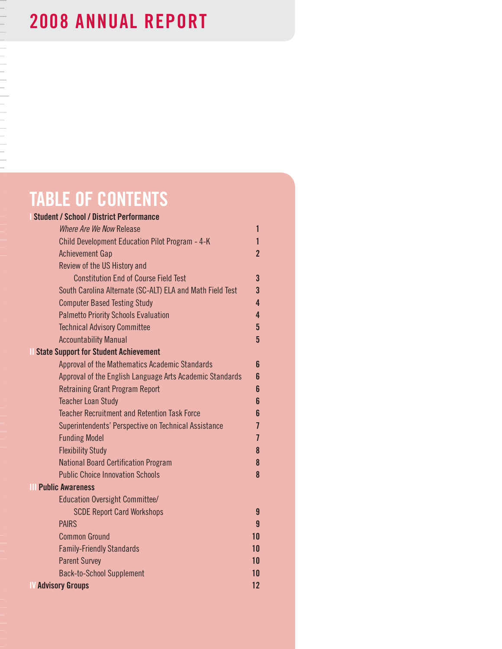# |-<br>|-<br>|-<br>|-<br>|-<br>|-<br>|-

# **2008 ANNUAL REPORT**

# **TABLE Of CONTENTS**

| <b>Student / School / District Performance</b>            |                |
|-----------------------------------------------------------|----------------|
| Where Are We Now Release                                  | 1              |
| Child Development Education Pilot Program - 4-K           | 1              |
| <b>Achievement Gap</b>                                    | $\overline{2}$ |
| Review of the US History and                              |                |
| <b>Constitution End of Course Field Test</b>              | $\overline{3}$ |
| South Carolina Alternate (SC-ALT) ELA and Math Field Test | $\overline{3}$ |
| <b>Computer Based Testing Study</b>                       | 4              |
| <b>Palmetto Priority Schools Evaluation</b>               | 4              |
| <b>Technical Advisory Committee</b>                       | $\overline{5}$ |
| <b>Accountability Manual</b>                              | $\overline{5}$ |
| <b>State Support for Student Achievement</b>              |                |
| Approval of the Mathematics Academic Standards            | 6              |
| Approval of the English Language Arts Academic Standards  | 6              |
| <b>Retraining Grant Program Report</b>                    | 6              |
| <b>Teacher Loan Study</b>                                 | 6              |
| <b>Teacher Recruitment and Retention Task Force</b>       | 6              |
| Superintendents' Perspective on Technical Assistance      | $\overline{1}$ |
| <b>Funding Model</b>                                      | $\overline{1}$ |
| <b>Flexibility Study</b>                                  | 8              |
| <b>National Board Certification Program</b>               | 8              |
| <b>Public Choice Innovation Schools</b>                   | 8              |
| Ш<br><b>Public Awareness</b>                              |                |
| Education Oversight Committee/                            |                |
| <b>SCDE Report Card Workshops</b>                         | 9              |
| <b>PAIRS</b>                                              | $\mathbf{q}$   |
| <b>Common Ground</b>                                      | 10             |
| <b>Family-Friendly Standards</b>                          | 10             |
| <b>Parent Survey</b>                                      | 10             |
| <b>Back-to-School Supplement</b>                          | 10             |
| <b>W</b> Advisory Groups                                  | 12             |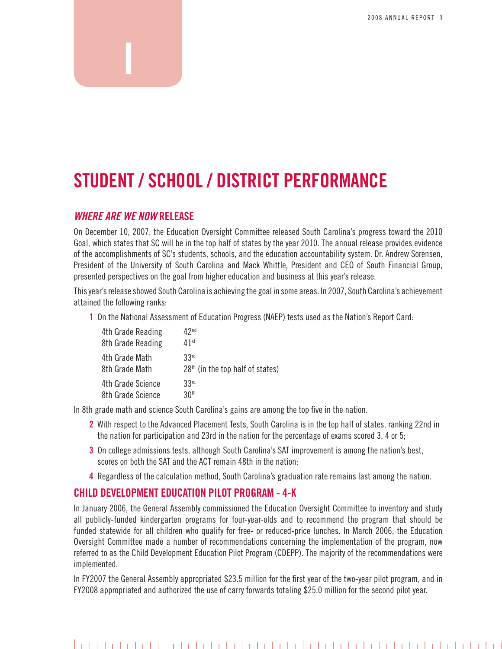# **STUdENT / SCHOOL / diSTRiCT PERfORMANCE**

#### *WHERE ARE WE NOW* **RELEASE**

**i**

on December 10, 2007, the education oversight Committee released South Carolina's progress toward the 2010 Goal, which states that SC will be in the top half of states by the year 2010. The annual release provides evidence of the accomplishments of SC's students, schools, and the education accountability system. Dr. Andrew Sorensen, President of the University of South Carolina and Mack Whittle, President and CEO of South Financial Group, presented perspectives on the goal from higher education and business at this year's release.

this year's release showed South Carolina is achieving the goal in some areas. In 2007, South Carolina's achievement attained the following ranks:

**1** On the National Assessment of Education Progress (NAEP) tests used as the Nation's Report Card:

| 4th Grade Reading | 42 <sup>nd</sup>                   |
|-------------------|------------------------------------|
| 8th Grade Reading | $41$ st                            |
| 4th Grade Math    | 33 <sup>rd</sup>                   |
| 8th Grade Math    | $28th$ (in the top half of states) |
| 4th Grade Science | 33 <sup>rd</sup>                   |
| 8th Grade Science | 30 <sup>th</sup>                   |

In 8th grade math and science South Carolina's gains are among the top five in the nation.

- **2** With respect to the Advanced Placement Tests, South Carolina is in the top half of states, ranking 22nd in the nation for participation and 23rd in the nation for the percentage of exams scored 3, 4 or 5;
- **3** On college admissions tests, although South Carolina's SAT improvement is among the nation's best, scores on both the SAT and the ACT remain 48th in the nation;
- **4** regardless of the calculation method, South Carolina's graduation rate remains last among the nation.

#### **CHiLd dEvELOPMENT EdUCATiON PiLOT PROgRAM - 4-k**

In January 2006, the General Assembly commissioned the Education Oversight Committee to inventory and study all publicly-funded kindergarten programs for four-year-olds and to recommend the program that should be funded statewide for all children who qualify for free- or reduced-price lunches. In March 2006, the Education oversight Committee made a number of recommendations concerning the implementation of the program, now referred to as the Child Development Education Pilot Program (CDEPP). The majority of the recommendations were implemented.

In FY2007 the General Assembly appropriated \$23.5 million for the first year of the two-year pilot program, and in FY2008 appropriated and authorized the use of carry forwards totaling \$25.0 million for the second pilot year.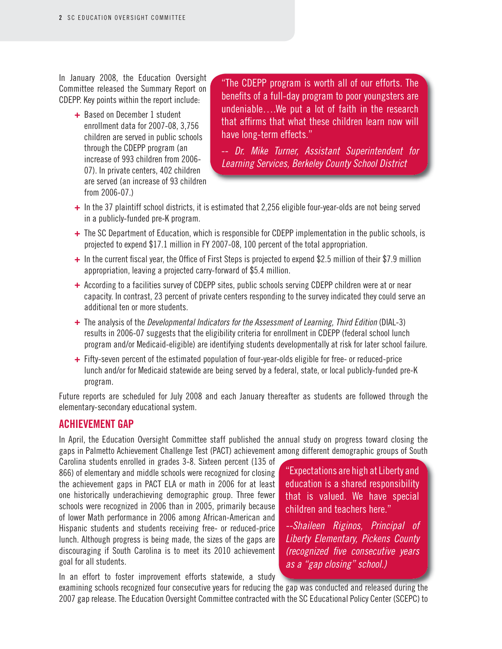In January 2008, the Education Oversight Committee released the Summary Report on CDepp. Key points within the report include:

> **+** Based on December 1 student enrollment data for 2007-08, 3,756 children are served in public schools through the CDEPP program (an increase of 993 children from 2006- 07). In private centers, 402 children are served (an increase of 93 children from 2006-07.)

"the CDepp program is worth all of our efforts. the benefits of a full-day program to poor youngsters are undeniable….we put a lot of faith in the research that affirms that what these children learn now will have long-term effects."

-- *Dr. Mike Turner, Assistant Superintendent for Learning Services, Berkeley County School District*

- **+** In the 37 plaintiff school districts, it is estimated that 2,256 eligible four-year-olds are not being served in a publicly-funded pre-K program.
- **+** The SC Department of Education, which is responsible for CDEPP implementation in the public schools, is projected to expend \$17.1 million in FY 2007-08, 100 percent of the total appropriation.
- **+** In the current fiscal year, the Office of First Steps is projected to expend \$2.5 million of their \$7.9 million appropriation, leaving a projected carry-forward of \$5.4 million.
- + According to a facilities survey of CDEPP sites, public schools serving CDEPP children were at or near capacity. In contrast, 23 percent of private centers responding to the survey indicated they could serve an additional ten or more students.
- **+** the analysis of the *Developmental Indicators for the Assessment of Learning, Third Edition* (DIAl-3) results in 2006-07 suggests that the eligibility criteria for enrollment in CDEPP (federal school lunch program and/or Medicaid-eligible) are identifying students developmentally at risk for later school failure.
- **+** Fifty-seven percent of the estimated population of four-year-olds eligible for free- or reduced-price lunch and/or for Medicaid statewide are being served by a federal, state, or local publicly-funded pre-K program.

Future reports are scheduled for July 2008 and each January thereafter as students are followed through the elementary-secondary educational system.

#### **ACHiEvEMENT gAP**

In April, the education oversight Committee staff published the annual study on progress toward closing the gaps in Palmetto Achievement Challenge Test (PACT) achievement among different demographic groups of South

Carolina students enrolled in grades 3-8. Sixteen percent (135 of 866) of elementary and middle schools were recognized for closing the achievement gaps in PACT ELA or math in 2006 for at least one historically underachieving demographic group. Three fewer schools were recognized in 2006 than in 2005, primarily because of lower Math performance in 2006 among African-American and Hispanic students and students receiving free- or reduced-price lunch. Although progress is being made, the sizes of the gaps are discouraging if South Carolina is to meet its 2010 achievement goal for all students.

"expectations are high at liberty and education is a shared responsibility that is valued. we have special children and teachers here."

*--Shaileen Riginos, Principal of Liberty Elementary, Pickens County (recognized fi ve consecutive years as a "gap closing" school.)*

In an effort to foster improvement efforts statewide, a study

examining schools recognized four consecutive years for reducing the gap was conducted and released during the 2007 gap release. the education oversight Committee contracted with the SC educational policy Center (SCepC) to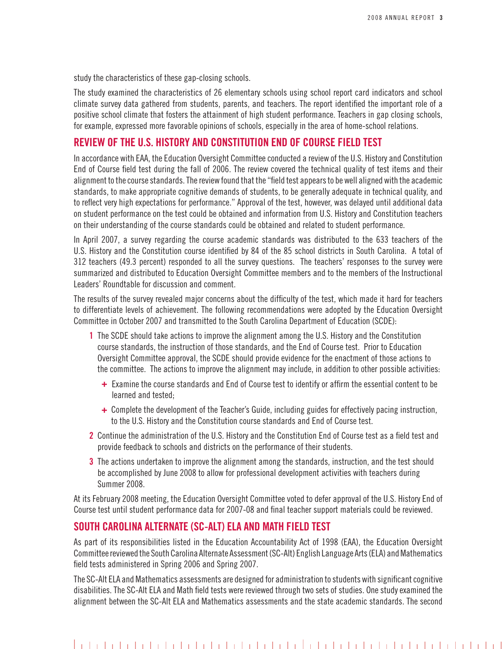study the characteristics of these gap-closing schools.

The study examined the characteristics of 26 elementary schools using school report card indicators and school climate survey data gathered from students, parents, and teachers. The report identified the important role of a positive school climate that fosters the attainment of high student performance. Teachers in gap closing schools, for example, expressed more favorable opinions of schools, especially in the area of home-school relations.

#### **Review of the U.S. History and Constitution End of Course Field Test**

In accordance with EAA, the Education Oversight Committee conducted a review of the U.S. History and Constitution End of Course field test during the fall of 2006. The review covered the technical quality of test items and their alignment to the course standards. The review found that the "field test appears to be well aligned with the academic standards, to make appropriate cognitive demands of students, to be generally adequate in technical quality, and to reflect very high expectations for performance." Approval of the test, however, was delayed until additional data on student performance on the test could be obtained and information from U.S. History and Constitution teachers on their understanding of the course standards could be obtained and related to student performance.

In April 2007, a survey regarding the course academic standards was distributed to the 633 teachers of the U.S. History and the Constitution course identified by 84 of the 85 school districts in South Carolina. A total of 312 teachers (49.3 percent) responded to all the survey questions. The teachers' responses to the survey were summarized and distributed to Education Oversight Committee members and to the members of the Instructional Leaders' Roundtable for discussion and comment.

The results of the survey revealed major concerns about the difficulty of the test, which made it hard for teachers to differentiate levels of achievement. The following recommendations were adopted by the Education Oversight Committee in October 2007 and transmitted to the South Carolina Department of Education (SCDE):

- **1** The SCDE should take actions to improve the alignment among the U.S. History and the Constitution course standards, the instruction of those standards, and the End of Course test. Prior to Education Oversight Committee approval, the SCDE should provide evidence for the enactment of those actions to the committee. The actions to improve the alignment may include, in addition to other possible activities:
	- **+** Examine the course standards and End of Course test to identify or affirm the essential content to be learned and tested;
	- **+** Complete the development of the Teacher's Guide, including guides for effectively pacing instruction, to the U.S. History and the Constitution course standards and End of Course test.
- **2** Continue the administration of the U.S. History and the Constitution End of Course test as a field test and provide feedback to schools and districts on the performance of their students.
- **3** The actions undertaken to improve the alignment among the standards, instruction, and the test should be accomplished by June 2008 to allow for professional development activities with teachers during Summer 2008.

At its February 2008 meeting, the Education Oversight Committee voted to defer approval of the U.S. History End of Course test until student performance data for 2007-08 and final teacher support materials could be reviewed.

#### **South Carolina Alternate (SC-Alt) ELA and Math Field Test**

As part of its responsibilities listed in the Education Accountability Act of 1998 (EAA), the Education Oversight Committee reviewed the South Carolina Alternate Assessment (SC-Alt) English Language Arts (ELA) and Mathematics field tests administered in Spring 2006 and Spring 2007.

The SC-Alt ELA and Mathematics assessments are designed for administration to students with significant cognitive disabilities. The SC-Alt ELA and Math field tests were reviewed through two sets of studies. One study examined the alignment between the SC-Alt ELA and Mathematics assessments and the state academic standards. The second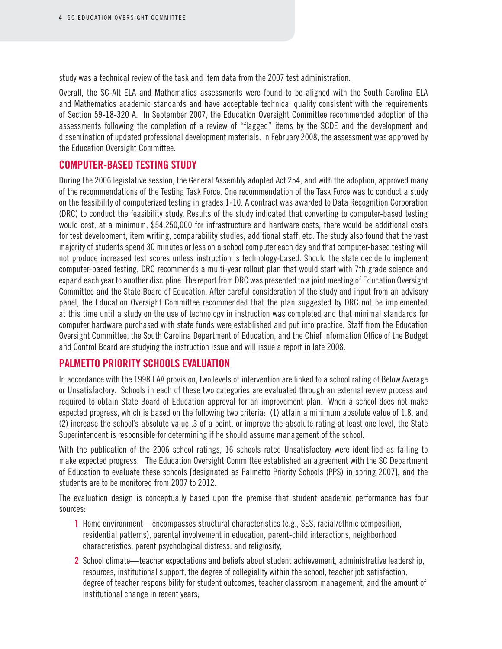study was a technical review of the task and item data from the 2007 test administration.

Overall, the SC-Alt ELA and Mathematics assessments were found to be aligned with the South Carolina ELA and Mathematics academic standards and have acceptable technical quality consistent with the requirements of Section 59-18-320 A. In September 2007, the Education Oversight Committee recommended adoption of the assessments following the completion of a review of "flagged" items by the SCDE and the development and dissemination of updated professional development materials. In February 2008, the assessment was approved by the Education Oversight Committee.

#### **Computer-Based Testing Study**

During the 2006 legislative session, the General Assembly adopted Act 254, and with the adoption, approved many of the recommendations of the Testing Task Force. One recommendation of the Task Force was to conduct a study on the feasibility of computerized testing in grades 1-10. A contract was awarded to Data Recognition Corporation (DRC) to conduct the feasibility study. Results of the study indicated that converting to computer-based testing would cost, at a minimum, \$54,250,000 for infrastructure and hardware costs; there would be additional costs for test development, item writing, comparability studies, additional staff, etc. The study also found that the vast majority of students spend 30 minutes or less on a school computer each day and that computer-based testing will not produce increased test scores unless instruction is technology-based. Should the state decide to implement computer-based testing, DRC recommends a multi-year rollout plan that would start with 7th grade science and expand each year to another discipline. The report from DRC was presented to a joint meeting of Education Oversight Committee and the State Board of Education. After careful consideration of the study and input from an advisory panel, the Education Oversight Committee recommended that the plan suggested by DRC not be implemented at this time until a study on the use of technology in instruction was completed and that minimal standards for computer hardware purchased with state funds were established and put into practice. Staff from the Education Oversight Committee, the South Carolina Department of Education, and the Chief Information Office of the Budget and Control Board are studying the instruction issue and will issue a report in late 2008.

#### **Palmetto Priority Schools Evaluation**

In accordance with the 1998 EAA provision, two levels of intervention are linked to a school rating of Below Average or Unsatisfactory. Schools in each of these two categories are evaluated through an external review process and required to obtain State Board of Education approval for an improvement plan. When a school does not make expected progress, which is based on the following two criteria: (1) attain a minimum absolute value of 1.8, and (2) increase the school's absolute value .3 of a point, or improve the absolute rating at least one level, the State Superintendent is responsible for determining if he should assume management of the school.

With the publication of the 2006 school ratings, 16 schools rated Unsatisfactory were identified as failing to make expected progress. The Education Oversight Committee established an agreement with the SC Department of Education to evaluate these schools [designated as Palmetto Priority Schools (PPS) in spring 2007], and the students are to be monitored from 2007 to 2012.

The evaluation design is conceptually based upon the premise that student academic performance has four sources:

- **1** Home environment—encompasses structural characteristics (e.g., SES, racial/ethnic composition, residential patterns), parental involvement in education, parent-child interactions, neighborhood characteristics, parent psychological distress, and religiosity;
- **2** School climate—teacher expectations and beliefs about student achievement, administrative leadership, resources, institutional support, the degree of collegiality within the school, teacher job satisfaction, degree of teacher responsibility for student outcomes, teacher classroom management, and the amount of institutional change in recent years;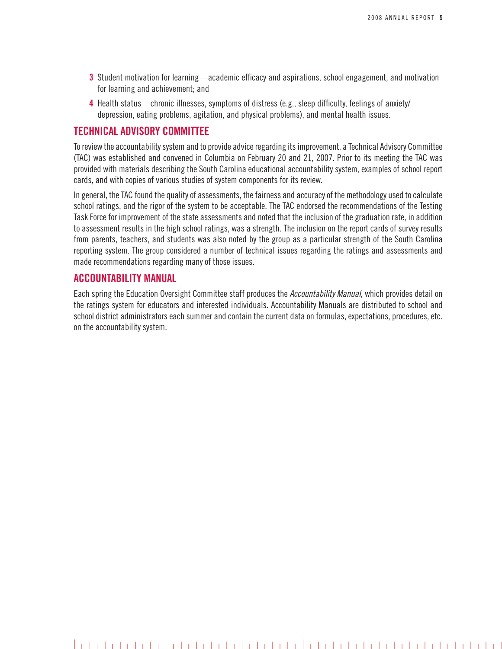- **3** Student motivation for learning—academic efficacy and aspirations, school engagement, and motivation for learning and achievement; and
- **4** Health status—chronic illnesses, symptoms of distress (e.g., sleep difficulty, feelings of anxiety/ depression, eating problems, agitation, and physical problems), and mental health issues.

#### **Technical Advisory Committee**

To review the accountability system and to provide advice regarding its improvement, a Technical Advisory Committee (TAC) was established and convened in Columbia on February 20 and 21, 2007. Prior to its meeting the TAC was provided with materials describing the South Carolina educational accountability system, examples of school report cards, and with copies of various studies of system components for its review.

In general, the TAC found the quality of assessments, the fairness and accuracy of the methodology used to calculate school ratings, and the rigor of the system to be acceptable. The TAC endorsed the recommendations of the Testing Task Force for improvement of the state assessments and noted that the inclusion of the graduation rate, in addition to assessment results in the high school ratings, was a strength. The inclusion on the report cards of survey results from parents, teachers, and students was also noted by the group as a particular strength of the South Carolina reporting system. The group considered a number of technical issues regarding the ratings and assessments and made recommendations regarding many of those issues.

#### **Accountability Manual**

Each spring the Education Oversight Committee staff produces the *Accountability Manual*, which provides detail on the ratings system for educators and interested individuals. Accountability Manuals are distributed to school and school district administrators each summer and contain the current data on formulas, expectations, procedures, etc. on the accountability system.

####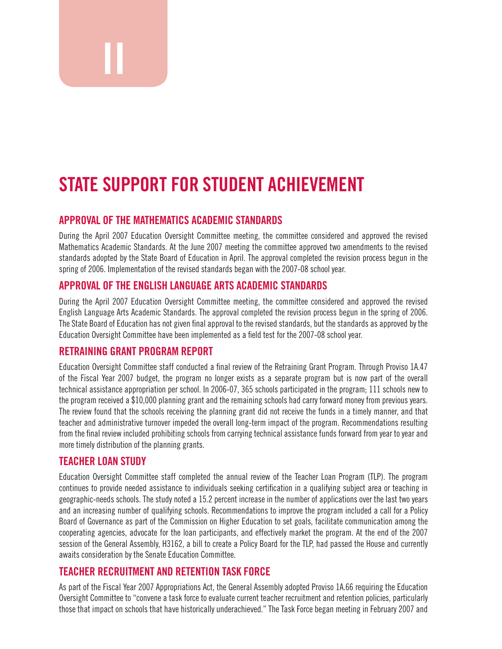# **STATE SUPPORT fOR STUdENT ACHiEvEMENT**

#### **APPROvAL Of THE MATHEMATiCS ACAdEMiC STANdARdS**

During the April 2007 education oversight Committee meeting, the committee considered and approved the revised Mathematics Academic Standards. At the June 2007 meeting the committee approved two amendments to the revised standards adopted by the State Board of Education in April. The approval completed the revision process begun in the spring of 2006. Implementation of the revised standards began with the 2007-08 school year.

#### **APPROvAL Of THE ENgLiSH LANgUAgE ARTS ACAdEMiC STANdARdS**

During the April 2007 Education Oversight Committee meeting, the committee considered and approved the revised English Language Arts Academic Standards. The approval completed the revision process begun in the spring of 2006. The State Board of Education has not given final approval to the revised standards, but the standards as approved by the Education Oversight Committee have been implemented as a field test for the 2007-08 school year.

#### **RETRAiNiNg gRANT PROgRAM REPORT**

**ii**

Education Oversight Committee staff conducted a final review of the Retraining Grant Program. Through Proviso 1A.47 of the Fiscal Year 2007 budget, the program no longer exists as a separate program but is now part of the overall technical assistance appropriation per school. In 2006-07, 365 schools participated in the program; 111 schools new to the program received a \$10,000 planning grant and the remaining schools had carry forward money from previous years. The review found that the schools receiving the planning grant did not receive the funds in a timely manner, and that teacher and administrative turnover impeded the overall long-term impact of the program. Recommendations resulting from the final review included prohibiting schools from carrying technical assistance funds forward from year to year and more timely distribution of the planning grants.

#### **TEACHER LOAN STUdy**

education oversight Committee staff completed the annual review of the teacher loan program (tlp). the program continues to provide needed assistance to individuals seeking certification in a qualifying subject area or teaching in geographic-needs schools. the study noted a 15.2 percent increase in the number of applications over the last two years and an increasing number of qualifying schools. Recommendations to improve the program included a call for a Policy Board of Governance as part of the Commission on Higher education to set goals, facilitate communication among the cooperating agencies, advocate for the loan participants, and effectively market the program. At the end of the 2007 session of the General Assembly, H3162, a bill to create a Policy Board for the TLP, had passed the House and currently awaits consideration by the Senate Education Committee.

#### **TEACHER RECRUiTMENT ANd RETENTiON TASk fORCE**

As part of the Fiscal Year 2007 Appropriations Act, the General Assembly adopted proviso 1A.66 requiring the education oversight Committee to "convene a task force to evaluate current teacher recruitment and retention policies, particularly those that impact on schools that have historically underachieved." The Task Force began meeting in February 2007 and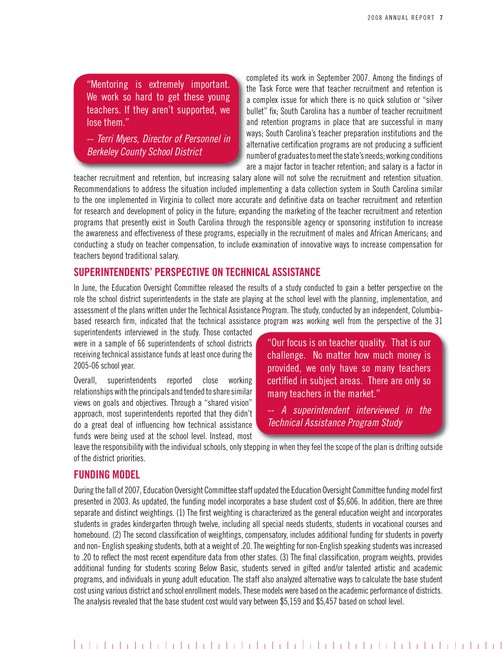"Mentoring is extremely important. we work so hard to get these young teachers. If they aren't supported, we lose them."

-- *Terri Myers, Director of Personnel in Berkeley County School District*

completed its work in September 2007. Among the findings of the Task Force were that teacher recruitment and retention is a complex issue for which there is no quick solution or "silver bullet" fix; South Carolina has a number of teacher recruitment and retention programs in place that are successful in many ways; South Carolina's teacher preparation institutions and the alternative certification programs are not producing a sufficient number of graduates to meet the state's needs; working conditions are a major factor in teacher retention; and salary is a factor in

teacher recruitment and retention, but increasing salary alone will not solve the recruitment and retention situation. Recommendations to address the situation included implementing a data collection system in South Carolina similar to the one implemented in Virginia to collect more accurate and definitive data on teacher recruitment and retention for research and development of policy in the future; expanding the marketing of the teacher recruitment and retention programs that presently exist in South Carolina through the responsible agency or sponsoring institution to increase the awareness and effectiveness of these programs, especially in the recruitment of males and African Americans; and conducting a study on teacher compensation, to include examination of innovative ways to increase compensation for teachers beyond traditional salary.

#### **SUPERiNTENdENTS' PERSPECTivE ON TECHNiCAL ASSiSTANCE**

In June, the Education Oversight Committee released the results of a study conducted to gain a better perspective on the role the school district superintendents in the state are playing at the school level with the planning, implementation, and assessment of the plans written under the Technical Assistance Program. The study, conducted by an independent, Columbiabased research firm, indicated that the technical assistance program was working well from the perspective of the 31

superintendents interviewed in the study. Those contacted were in a sample of 66 superintendents of school districts receiving technical assistance funds at least once during the 2005-06 school year.

overall, superintendents reported close working relationships with the principals and tended to share similar views on goals and objectives. Through a "shared vision" approach, most superintendents reported that they didn't do a great deal of influencing how technical assistance funds were being used at the school level. Instead, most "Our focus is on teacher quality. That is our challenge. No matter how much money is provided, we only have so many teachers certified in subject areas. There are only so many teachers in the market."

-- *A superintendent interviewed in the Technical Assistance Program Study* 

leave the responsibility with the individual schools, only stepping in when they feel the scope of the plan is drifting outside of the district priorities.

#### **fUNdiNg MOdEL**

During the fall of 2007, Education Oversight Committee staff updated the Education Oversight Committee funding model first presented in 2003. As updated, the funding model incorporates a base student cost of \$5,606. In addition, there are three separate and distinct weightings. (1) The first weighting is characterized as the general education weight and incorporates students in grades kindergarten through twelve, including all special needs students, students in vocational courses and homebound. (2) The second classification of weightings, compensatory, includes additional funding for students in poverty and non- English speaking students, both at a weight of .20. The weighting for non-English speaking students was increased to .20 to reflect the most recent expenditure data from other states. (3) The final classification, program weights, provides additional funding for students scoring Below Basic, students served in gifted and/or talented artistic and academic programs, and individuals in young adult education. the staff also analyzed alternative ways to calculate the base student cost using various district and school enrollment models. These models were based on the academic performance of districts. the analysis revealed that the base student cost would vary between \$5,159 and \$5,457 based on school level.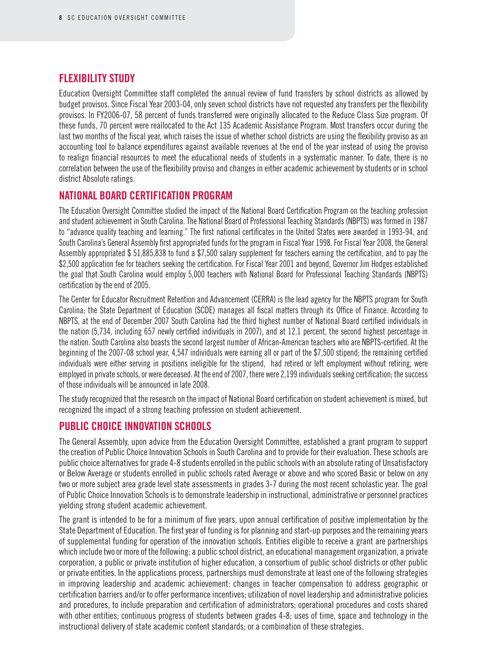#### **Flexibility Study**

Education Oversight Committee staff completed the annual review of fund transfers by school districts as allowed by budget provisos. Since Fiscal Year 2003-04, only seven school districts have not requested any transfers per the flexibility provisos. In FY2006-07, 58 percent of funds transferred were originally allocated to the Reduce Class Size program. Of these funds, 70 percent were reallocated to the Act 135 Academic Assistance Program. Most transfers occur during the last two months of the fiscal year, which raises the issue of whether school districts are using the flexibility proviso as an accounting tool to balance expenditures against available revenues at the end of the year instead of using the proviso to realign financial resources to meet the educational needs of students in a systematic manner. To date, there is no correlation between the use of the flexibility proviso and changes in either academic achievement by students or in school district Absolute ratings.

#### **National Board Certification Program**

The Education Oversight Committee studied the impact of the National Board Certification Program on the teaching profession and student achievement in South Carolina. The National Board of Professional Teaching Standards (NBPTS) was formed in 1987 to "advance quality teaching and learning." The first national certificates in the United States were awarded in 1993-94, and South Carolina's General Assembly first appropriated funds for the program in Fiscal Year 1998. For Fiscal Year 2008, the General Assembly appropriated \$ 51,885,838 to fund a \$7,500 salary supplement for teachers earning the certification, and to pay the \$2,500 application fee for teachers seeking the certification. For Fiscal Year 2001 and beyond, Governor Jim Hodges established the goal that South Carolina would employ 5,000 teachers with National Board for Professional Teaching Standards (NBPTS) certification by the end of 2005.

The Center for Educator Recruitment Retention and Advancement (CERRA) is the lead agency for the NBPTS program for South Carolina; the State Department of Education (SCDE) manages all fiscal matters through its Office of Finance. According to NBPTS, at the end of December 2007 South Carolina had the third highest number of National Board certified individuals in the nation (5,734, including 657 newly certified individuals in 2007), and at 12.1 percent, the second highest percentage in the nation. South Carolina also boasts the second largest number of African-American teachers who are NBPTS-certified. At the beginning of the 2007-08 school year, 4,547 individuals were earning all or part of the \$7,500 stipend; the remaining certified individuals were either serving in positions ineligible for the stipend, had retired or left employment without retiring, were employed in private schools, or were deceased. At the end of 2007, there were 2,199 individuals seeking certification; the success of those individuals will be announced in late 2008.

The study recognized that the research on the impact of National Board certification on student achievement is mixed, but recognized the impact of a strong teaching profession on student achievement.

#### **Public CHOICE Innovation Schools**

The General Assembly, upon advice from the Education Oversight Committee, established a grant program to support the creation of Public Choice Innovation Schools in South Carolina and to provide for their evaluation. These schools are public choice alternatives for grade 4-8 students enrolled in the public schools with an absolute rating of Unsatisfactory or Below Average or students enrolled in public schools rated Average or above and who scored Basic or below on any two or more subject area grade level state assessments in grades 3-7 during the most recent scholastic year. The goal of Public Choice Innovation Schools is to demonstrate leadership in instructional, administrative or personnel practices yielding strong student academic achievement.

The grant is intended to be for a minimum of five years, upon annual certification of positive implementation by the State Department of Education. The first year of funding is for planning and start-up purposes and the remaining years of supplemental funding for operation of the innovation schools. Entities eligible to receive a grant are partnerships which include two or more of the following: a public school district, an educational management organization, a private corporation, a public or private institution of higher education, a consortium of public school districts or other public or private entities. In the applications process, partnerships must demonstrate at least one of the following strategies in improving leadership and academic achievement: changes in teacher compensation to address geographic or certification barriers and/or to offer performance incentives; utilization of novel leadership and administrative policies and procedures, to include preparation and certification of administrators; operational procedures and costs shared with other entities; continuous progress of students between grades 4-8; uses of time, space and technology in the instructional delivery of state academic content standards; or a combination of these strategies.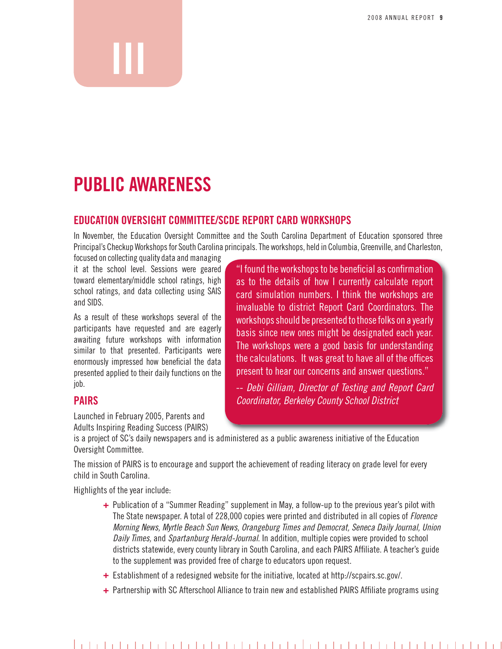## **PUBLiC AwARENESS**

**iii**

#### **EdUCATiON OvERSigHT COMMiTTEE/SCdE REPORT CARd wORkSHOPS**

In November, the Education Oversight Committee and the South Carolina Department of Education sponsored three Principal's Checkup Workshops for South Carolina principals. The workshops, held in Columbia, Greenville, and Charleston,

focused on collecting quality data and managing it at the school level. Sessions were geared toward elementary/middle school ratings, high school ratings, and data collecting using SAIS and SIDS.

As a result of these workshops several of the participants have requested and are eagerly awaiting future workshops with information similar to that presented. Participants were enormously impressed how beneficial the data presented applied to their daily functions on the job.

#### **PAiRS**

launched in February 2005, parents and Adults Inspiring Reading Success (PAIRS)

"I found the workshops to be beneficial as confirmation as to the details of how I currently calculate report card simulation numbers. I think the workshops are invaluable to district Report Card Coordinators. The workshops should be presented to those folks on a yearly basis since new ones might be designated each year. The workshops were a good basis for understanding the calculations. It was great to have all of the offices present to hear our concerns and answer questions."

-- *Debi Gilliam, Director of Testing and Report Card Coordinator, Berkeley County School District* 

is a project of SC's daily newspapers and is administered as a public awareness initiative of the education oversight Committee.

the mission of pAIrS is to encourage and support the achievement of reading literacy on grade level for every child in South Carolina.

Highlights of the year include:

- **+** publication of a "Summer reading" supplement in May, a follow-up to the previous year's pilot with the State newspaper. A total of 228,000 copies were printed and distributed in all copies of *Florence Morning News, Myrtle Beach Sun News, Orangeburg Times and Democrat, Seneca Daily Journal, Union Daily Times,* and *Spartanburg Herald-Journal*. In addition, multiple copies were provided to school districts statewide, every county library in South Carolina, and each PAIRS Affiliate. A teacher's guide to the supplement was provided free of charge to educators upon request.
- **+** Establishment of a redesigned website for the initiative, located at http://scpairs.sc.gov/.
- **+** Partnership with SC Afterschool Alliance to train new and established PAIRS Affiliate programs using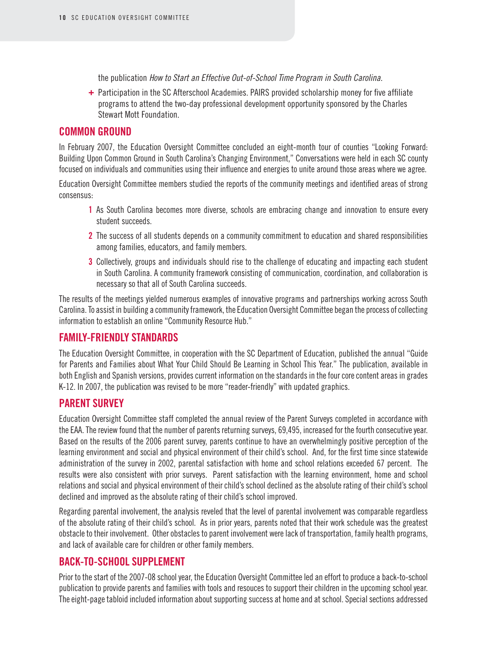the publication *How to Start an Effective Out-of-School Time Program in South Carolina.*

**+** Participation in the SC Afterschool Academies. PAIRS provided scholarship money for five affiliate programs to attend the two-day professional development opportunity sponsored by the Charles Stewart Mott Foundation.

#### **Common Ground**

In February 2007, the Education Oversight Committee concluded an eight-month tour of counties "Looking Forward: Building Upon Common Ground in South Carolina's Changing Environment," Conversations were held in each SC county focused on individuals and communities using their influence and energies to unite around those areas where we agree.

Education Oversight Committee members studied the reports of the community meetings and identified areas of strong consensus:

- **1** As South Carolina becomes more diverse, schools are embracing change and innovation to ensure every student succeeds.
- **2** The success of all students depends on a community commitment to education and shared responsibilities among families, educators, and family members.
- **3** Collectively, groups and individuals should rise to the challenge of educating and impacting each student in South Carolina. A community framework consisting of communication, coordination, and collaboration is necessary so that all of South Carolina succeeds.

The results of the meetings yielded numerous examples of innovative programs and partnerships working across South Carolina. To assist in building a community framework, the Education Oversight Committee began the process of collecting information to establish an online "Community Resource Hub."

#### **Family-Friendly Standards**

The Education Oversight Committee, in cooperation with the SC Department of Education, published the annual "Guide for Parents and Families about What Your Child Should Be Learning in School This Year." The publication, available in both English and Spanish versions, provides current information on the standards in the four core content areas in grades K-12. In 2007, the publication was revised to be more "reader-friendly" with updated graphics.

#### **Parent Survey**

Education Oversight Committee staff completed the annual review of the Parent Surveys completed in accordance with the EAA. The review found that the number of parents returning surveys, 69,495, increased for the fourth consecutive year. Based on the results of the 2006 parent survey, parents continue to have an overwhelmingly positive perception of the learning environment and social and physical environment of their child's school. And, for the first time since statewide administration of the survey in 2002, parental satisfaction with home and school relations exceeded 67 percent. The results were also consistent with prior surveys. Parent satisfaction with the learning environment, home and school relations and social and physical environment of their child's school declined as the absolute rating of their child's school declined and improved as the absolute rating of their child's school improved.

Regarding parental involvement, the analysis reveled that the level of parental involvement was comparable regardless of the absolute rating of their child's school. As in prior years, parents noted that their work schedule was the greatest obstacle to their involvement. Other obstacles to parent involvement were lack of transportation, family health programs, and lack of available care for children or other family members.

#### **Back-to-School Supplement**

Prior to the start of the 2007-08 school year, the Education Oversight Committee led an effort to produce a back-to-school publication to provide parents and families with tools and resouces to support their children in the upcoming school year. The eight-page tabloid included information about supporting success at home and at school. Special sections addressed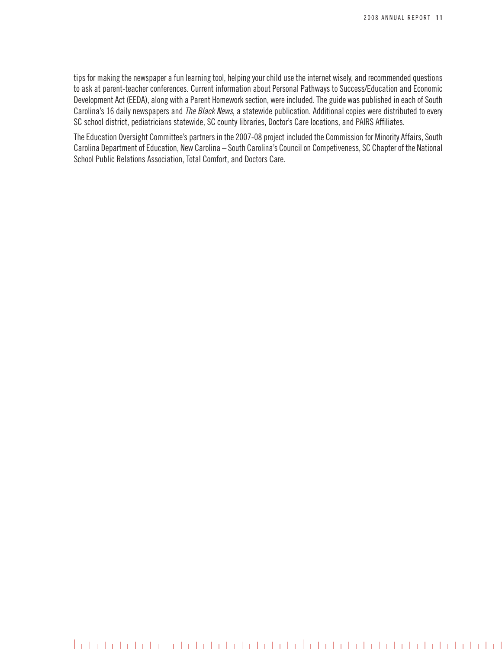tips for making the newspaper a fun learning tool, helping your child use the internet wisely, and recommended questions to ask at parent-teacher conferences. Current information about Personal Pathways to Success/Education and Economic Development Act (EEDA), along with a Parent Homework section, were included. The guide was published in each of South Carolina's 16 daily newspapers and *The Black News*, a statewide publication. Additional copies were distributed to every SC school district, pediatricians statewide, SC county libraries, Doctor's Care locations, and PAIRS Affiliates.

The Education Oversight Committee's partners in the 2007-08 project included the Commission for Minority Affairs, South Carolina Department of Education, New Carolina – South Carolina's Council on Competiveness, SC Chapter of the National School Public Relations Association, Total Comfort, and Doctors Care.

####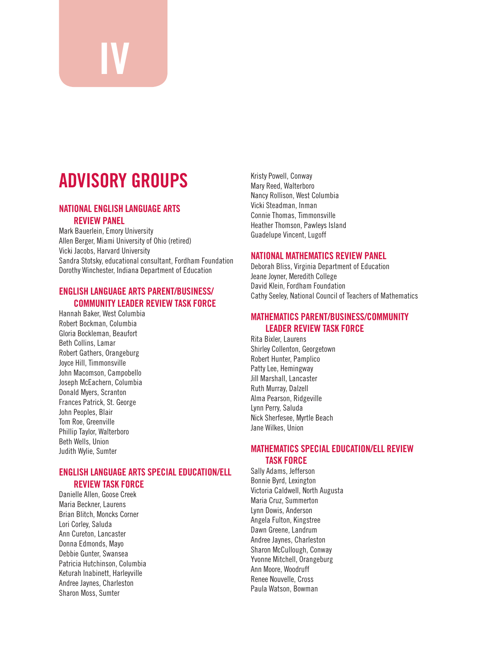# **AdviSORy gROUPS**

**iv**

#### **NATiONAL ENgLiSH LANgUAgE ARTS REviEw PANEL**

Mark Bauerlein, Emory University Allen Berger, Miami University of Ohio (retired) Vicki Jacobs, Harvard University Sandra Stotsky, educational consultant, Fordham Foundation Dorothy Winchester, Indiana Department of Education

#### **ENgLiSH LANgUAgE ARTS PARENT/BUSiNESS/ COMMUNiTy LEAdER REviEw TASk fORCE**

Hannah Baker, west Columbia Robert Bockman, Columbia Gloria Bockleman, Beaufort Beth Collins, lamar Robert Gathers, Orangeburg Joyce Hill, Timmonsville John Macomson, Campobello Joseph McEachern, Columbia Donald Myers, Scranton Frances patrick, St. George John Peoples, Blair Tom Roe, Greenville Phillip Taylor, Walterboro Beth Wells, Union Judith wylie, Sumter

#### **ENgLiSH LANgUAgE ARTS SPECiAL EdUCATiON/ELL REviEw TASk fORCE**

Danielle Allen, Goose Creek Maria Beckner, laurens Brian Blitch, Moncks Corner lori Corley, Saluda Ann Cureton, lancaster Donna Edmonds, Mayo Debbie Gunter, Swansea patricia Hutchinson, Columbia Keturah Inabinett, Harleyville Andree Jaynes, Charleston Sharon Moss, Sumter

Kristy powell, Conway Mary Reed, Walterboro Nancy Rollison, West Columbia Vicki Steadman, Inman Connie Thomas, Timmonsville Heather Thomson, Pawleys Island Guadelupe Vincent, lugoff

#### **NATiONAL MATHEMATiCS REviEw PANEL**

Deborah Bliss, Virginia Department of Education Jeane Joyner, Meredith College David Klein, Fordham Foundation Cathy Seeley, National Council of Teachers of Mathematics

#### **MATHEMATiCS PARENT/BUSiNESS/COMMUNiTy LEAdER REviEw TASk fORCE**

Rita Bixler, Laurens Shirley Collenton, Georgetown Robert Hunter, Pamplico Patty Lee, Hemingway Jill Marshall, lancaster Ruth Murray, Dalzell Alma Pearson, Ridgeville Lynn Perry, Saluda nick Sherfesee, Myrtle Beach Jane Wilkes, Union

#### **MATHEMATiCS SPECiAL EdUCATiON/ELL REviEw TASk fORCE**

Sally Adams, Jefferson Bonnie Byrd, lexington Victoria Caldwell, north Augusta Maria Cruz, Summerton lynn Dowis, Anderson Angela Fulton, Kingstree Dawn Greene, landrum Andree Jaynes, Charleston Sharon McCullough, Conway Yvonne Mitchell, Orangeburg Ann Moore, woodruff Renee Nouvelle, Cross paula watson, Bowman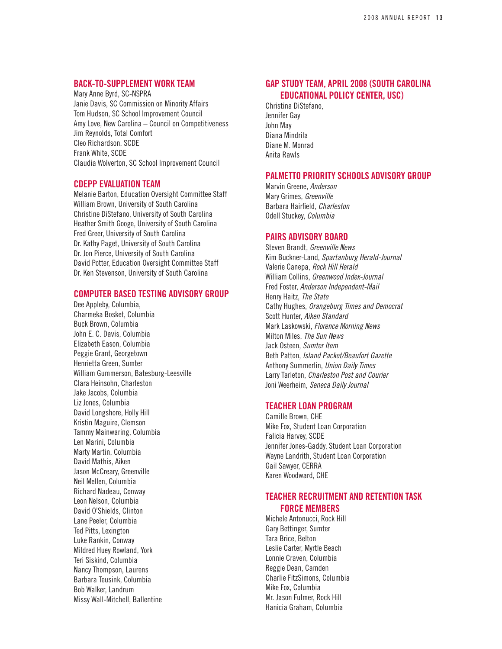#### **Back-to-Supplement Work Team**

Mary Anne Byrd, SC-NSPRA Janie Davis, SC Commission on Minority Affairs Tom Hudson, SC School Improvement Council Amy Love, New Carolina – Council on Competitiveness Jim Reynolds, Total Comfort Cleo Richardson, SCDE Frank White, SCDE Claudia Wolverton, SC School Improvement Council

#### **CDEPP Evaluation Team**

Melanie Barton, Education Oversight Committee Staff William Brown, University of South Carolina Christine DiStefano, University of South Carolina Heather Smith Googe, University of South Carolina Fred Greer, University of South Carolina Dr. Kathy Paget, University of South Carolina Dr. Jon Pierce, University of South Carolina David Potter, Education Oversight Committee Staff Dr. Ken Stevenson, University of South Carolina

#### **Computer Based Testing ADVISORY GROUP**

Dee Appleby, Columbia, Charmeka Bosket, Columbia Buck Brown, Columbia John E. C. Davis, Columbia Elizabeth Eason, Columbia Peggie Grant, Georgetown Henrietta Green, Sumter William Gummerson, Batesburg-Leesville Clara Heinsohn, Charleston Jake Jacobs, Columbia Liz Jones, Columbia David Longshore, Holly Hill Kristin Maguire, Clemson Tammy Mainwaring, Columbia Len Marini, Columbia Marty Martin, Columbia David Mathis, Aiken Jason McCreary, Greenville Neil Mellen, Columbia Richard Nadeau, Conway Leon Nelson, Columbia David O'Shields, Clinton Lane Peeler, Columbia Ted Pitts, Lexington Luke Rankin, Conway Mildred Huey Rowland, York Teri Siskind, Columbia Nancy Thompson, Laurens Barbara Teusink, Columbia Bob Walker, Landrum Missy Wall-Mitchell, Ballentine

#### **Gap Study Team, April 2008 (South Carolina Educational Policy Center, USC)**

Christina DiStefano, Jennifer Gay John May Diana Mindrila Diane M. Monrad Anita Rawls

#### **PALMETTO PRIORITY SCHOOLS advisory group**

Marvin Greene, *Anderson* Mary Grimes, *Greenville* Barbara Hairfield, *Charleston* Odell Stuckey, *Columbia*

#### **PAIRS Advisory Board**

Steven Brandt, *Greenville News* Kim Buckner-Land, *Spartanburg Herald-Journal* Valerie Canepa, *Rock Hill Herald* William Collins, *Greenwood Index-Journal* Fred Foster, *Anderson Independent-Mail* Henry Haitz, *The State* Cathy Hughes, *Orangeburg Times and Democrat* Scott Hunter, *Aiken Standard* Mark Laskowski, *Florence Morning News*  Milton Miles, *The Sun News* Jack Osteen, *Sumter Item* Beth Patton, *Island Packet/Beaufort Gazette* Anthony Summerlin, *Union Daily Times* Larry Tarleton, *Charleston Post and Courier*  Joni Weerheim, *Seneca Daily Journal*

#### **Teacher Loan Program**

Camille Brown, CHE Mike Fox, Student Loan Corporation Falicia Harvey, SCDE Jennifer Jones-Gaddy, Student Loan Corporation Wayne Landrith, Student Loan Corporation Gail Sawyer, CERRA Karen Woodward, CHE

#### **Teacher Recruitment and Retention Task Force Members**

Michele Antonucci, Rock Hill Gary Bettinger, Sumter Tara Brice, Belton Leslie Carter, Myrtle Beach Lonnie Craven, Columbia Reggie Dean, Camden Charlie FitzSimons, Columbia Mike Fox, Columbia Mr. Jason Fulmer, Rock Hill Hanicia Graham, Columbia